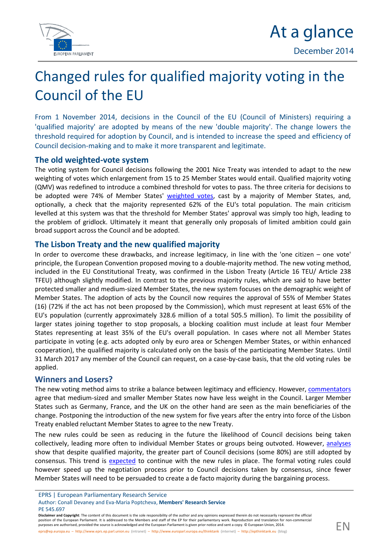



# $C$  handge left of qualified matrix in the integration for the  $C$ Councth of EU

Fromt November, @2014 Sions Crout the EU (Council roef quality in this at ear s 'qualified maarjeadiotpy'ted by mtehaennes w'oolouble majTokneitcyhan's ogweers the threshold required on top rCaoducon position intended to insoprese adseant of eefficienc Counctile is monthland to mitan load transparent electrimate

### Theoldweightwead system

Thevoting system for Counchlowind heap DsOiton NoTinceeawly as intendaeddapt bother new weighting owf hvior he sen lar fyreo mment for to 25 Memv bo eurld SteanOtteans il if mead or ity voting (QMV) was redefondeuda etoo mibo itnt be deshfoolnd otes to. pTahse sthree foculiete irsiaons to be adoptede 74% of Membregih Status esses by a majority of Mem[ber States](http://www.consilium.europa.eu/council/voting-system-at-the-council?tab=In-detail&subTab=Qualified-majority&lang=en), and optionally, a check that the m62 $\beta$  of toty the epresent text al population. The matricism of  $\alpha$ levelled at this systheem thwas shot oblating teasp proval was to similable ading to theproblem of gluidilmo atkelly meant gtehmeet rad milly propoosfallism iatendo it ional of gain broasdupport across talmed Gadopteid

## The Lisbonahde alte new qualified majority

In order to overcome thænosteindocrræwabs.aeckssignitimanecywith the 'oonnee cvibitzee'n principhleEuropeCaom ventio onsepotompo vindgo tubo-mhana jo rity meThtehemov. voting method in cluded  $\overline{E}$ ID th $\overline{E}$  and  $\overline{E}$  at itutio, nwads  $\overline{E}$  conafy r the head Linsbon Trie babt  $\overline{\theta}$ The  $\overline{E}$  AD rAft ind 12838 TFE)bulthough slightly|nmocoontified tp toe vtikonneuasjoritlye swyuhich are blaak obteetteter protected sam delime oe dsijuznaMdember Sthateess, ew syosctues me sfon the demographic Member State adoption of so for the nownergound the approval of 55% of Memb  $(16)$  72% if the act has not been propows be idon though the Commit at the Confinition of the confinition of the confinition of the confinition of the confinition of the confinition of the confinition of the confinition EU's popu(loautionently ianpaptelood \$208.65 million for a to the SLS mill Tiod in mithe possibility of largerates joining togepthee proposals to proposing coalition at the tensith and the complex r Staterse presenting 365t% lecafs tthe EU's overball cpaosope oslawt hoem Melemnobte all States participate in voting (e.g. aeutsa raedeor p Seconle enngly nb Member States, or with cooperation), the qualitia bood mato diriotry ly son the basis of the palmiticipati 31 March 2017 any memberano fretoneen Sabueban yoside se bahaatthe ovlodting lebse applied .

#### Winners and Losers?

The ew voting method aaimbealtaon sterible ettwine en pyleagnid efficienco. Am holomytea viers agree theadiusmized and smaller Meconwho aeve Staates weight in Lathope Condiction results. States succehrmany, Francend theon Uthie other hand the meanin beneficiaries of change. Stponing the introduction of the new system for five years af Treaty enabled reluctant Member States to agree to the new Treaty . The new les could be seen as redultoche giking lithoso of uniting of the council generalism on collect, ivloe layding more inodfitve indMutamon ber Sot at oe solape ino gutvothed owe vaemral psse showthat e supique a lified muthine rigtegerpant are f Council decisions roestidated e p8160%) and show that a consensus tr[end is](http://www.tandfonline.com/doi/pdf/10.1080/01402382.2013.826027) trenthered continue with the new Trhuele formion and larconting rules howe vsepreed t**ote** negotiation propion ocessus ncil d**setals** earn by co,nssi**ence** uslewer MembeState s will need the beat de dreate a de factor integration at gap innoicing  $s$  s.

EPRS ulropean Parliamentary Research Service Auth ©ronall Devane Maarniad Elora tMoberwa ers' Research Service PE 545.697 Disclaimer and:"Choopycroighetnt of this document is the sole responsibility of the author anedpaensyenopitmlioe<br>position of the European Parliament. It is addressed to the MemybewrorkandRespat6ndooftthe EnPdf-boncamninsc [eprs@ep.eu](mailto:eprs@ep.europa.eu)ro hptat per b/www.eprs.ep.p(ain lt.ruamieshinjt pu//www.europarl.europ[an teau/nt http:the/nternet) http://europa.eu